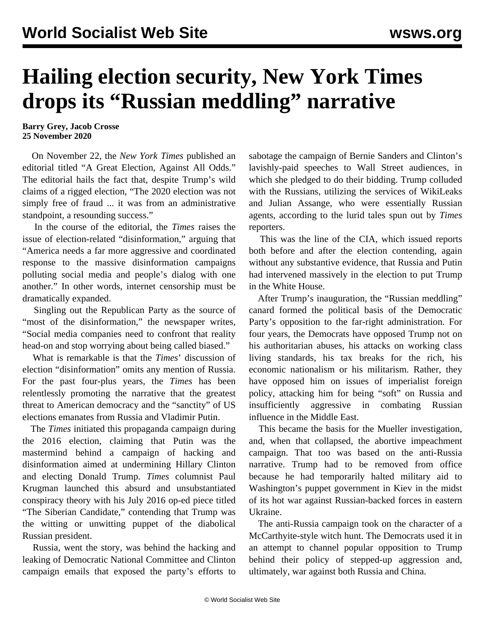## **Hailing election security, New York Times drops its "Russian meddling" narrative**

**Barry Grey, Jacob Crosse 25 November 2020**

 On November 22, the *New York Times* published an editorial titled "A Great Election, Against All Odds." The editorial hails the fact that, despite Trump's wild claims of a rigged election, "The 2020 election was not simply free of fraud ... it was from an administrative standpoint, a resounding success."

 In the course of the editorial, the *Times* raises the issue of election-related "disinformation," arguing that "America needs a far more aggressive and coordinated response to the massive disinformation campaigns polluting social media and people's dialog with one another." In other words, internet censorship must be dramatically expanded.

 Singling out the Republican Party as the source of "most of the disinformation," the newspaper writes, "Social media companies need to confront that reality head-on and stop worrying about being called biased."

 What is remarkable is that the *Times*' discussion of election "disinformation" omits any mention of Russia. For the past four-plus years, the *Times* has been relentlessly promoting the narrative that the greatest threat to American democracy and the "sanctity" of US elections emanates from Russia and Vladimir Putin.

 The *Times* initiated this propaganda campaign during the 2016 election, claiming that Putin was the mastermind behind a campaign of hacking and disinformation aimed at undermining Hillary Clinton and electing Donald Trump. *Times* columnist Paul Krugman launched this absurd and unsubstantiated conspiracy theory with his July 2016 op-ed piece titled "The Siberian Candidate," contending that Trump was the witting or unwitting puppet of the diabolical Russian president.

 Russia, went the story, was behind the hacking and leaking of Democratic National Committee and Clinton campaign emails that exposed the party's efforts to sabotage the campaign of Bernie Sanders and Clinton's lavishly-paid speeches to Wall Street audiences, in which she pledged to do their bidding. Trump colluded with the Russians, utilizing the services of WikiLeaks and Julian Assange, who were essentially Russian agents, according to the lurid tales spun out by *Times* reporters.

 This was the line of the CIA, which issued reports both before and after the election contending, again without any substantive evidence, that Russia and Putin had intervened massively in the election to put Trump in the White House.

 After Trump's inauguration, the "Russian meddling" canard formed the political basis of the Democratic Party's opposition to the far-right administration. For four years, the Democrats have opposed Trump not on his authoritarian abuses, his attacks on working class living standards, his tax breaks for the rich, his economic nationalism or his militarism. Rather, they have opposed him on issues of imperialist foreign policy, attacking him for being "soft" on Russia and insufficiently aggressive in combating Russian influence in the Middle East.

 This became the basis for the Mueller investigation, and, when that collapsed, the abortive impeachment campaign. That too was based on the anti-Russia narrative. Trump had to be removed from office because he had temporarily halted military aid to Washington's puppet government in Kiev in the midst of its hot war against Russian-backed forces in eastern Ukraine.

 The anti-Russia campaign took on the character of a McCarthyite-style witch hunt. The Democrats used it in an attempt to channel popular opposition to Trump behind their policy of stepped-up aggression and, ultimately, war against both Russia and China.